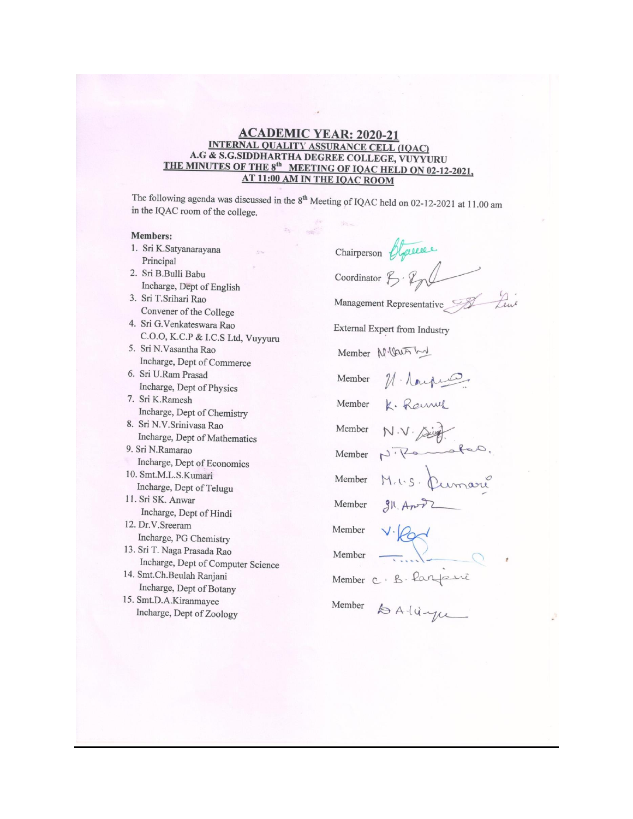### **ACADEMIC YEAR: 2020-21** INTERNAL QUALITY ASSURANCE CELL (IQAC) A.G & S.G.SIDDHARTHA DEGREE COLLEGE, VUYYURU THE MINUTES OF THE 8<sup>th</sup> MEETING OF IQAC HELD ON 02-12-2021, **AT 11:00 AM IN THE IQAC ROOM**

The following agenda was discussed in the 8<sup>th</sup> Meeting of IQAC held on 02-12-2021 at 11.00 am in the IQAC room of the college.

#### **Members:**

1. Sri K.Satyanarayana Principal 2. Sri B.Bulli Babu Incharge, Dept of English 3. Sri T.Srihari Rao Convener of the College 4. Sri G.Venkateswara Rao C.O.O, K.C.P & I.C.S Ltd, Vuyyuru 5. Sri N.Vasantha Rao Incharge, Dept of Commerce 6. Sri U.Ram Prasad Incharge, Dept of Physics 7. Sri K.Ramesh Incharge, Dept of Chemistry 8. Sri N.V.Srinivasa Rao Incharge, Dept of Mathematics 9. Sri N.Ramarao Incharge, Dept of Economics 10. Smt.M.L.S.Kumari Incharge, Dept of Telugu 11. Sri SK. Anwar Incharge, Dept of Hindi 12. Dr.V.Sreeram Incharge, PG Chemistry 13. Sri T. Naga Prasada Rao Incharge, Dept of Computer Science 14. Smt.Ch.Beulah Ranjani Incharge, Dept of Botany 15. Smt.D.A.Kiranmayee Incharge, Dept of Zoology

Chairperson Objective Coordinator  $\mathcal{F} \cdot \mathcal{L}$ Lew Management Representative External Expert from Industry Member N. Carr L Member N. Nouper K. Rammer Member N.V. Aing. Member Member  $M.us.\$ Member umari Member Member Member Member C. B. Parfaire Member to Alingu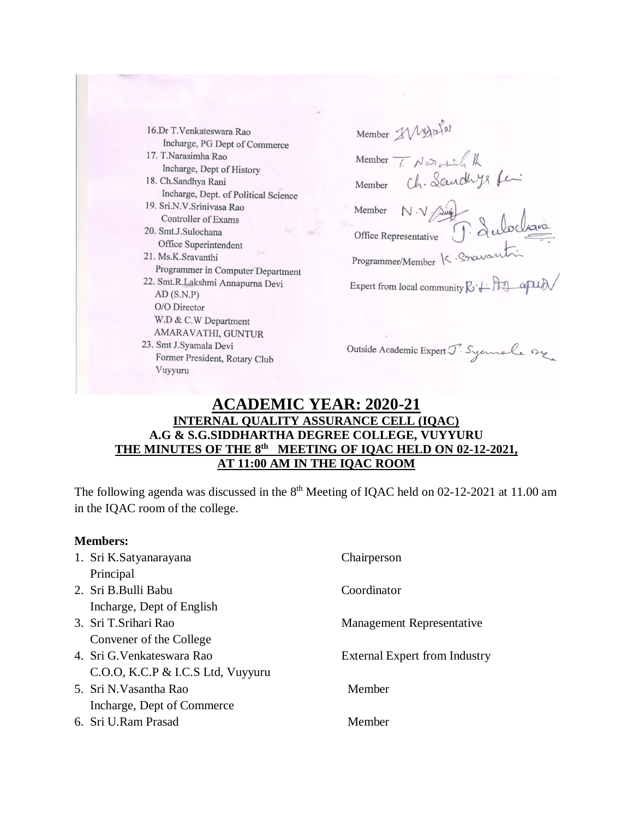16.Dr T.Venkateswara Rao Incharge, PG Dept of Commerce 17. T.Narasimha Rao Incharge, Dept of History 18. Ch.Sandhya Rani Incharge, Dept. of Political Science 19. Sri.N.V.Srinivasa Rao Controller of Exams 20. Smt.J.Sulochana Office Superintendent 21. Ms.K.Sravanthi Programmer in Computer Department 22. Smt.R.Lakshmi Annapurna Devi  $AD(S.N.P)$ O/O Director W.D & C.W Department AMARAVATHI, GUNTUR 23. Smt J.Syamala Devi Former President, Rotary Club Vuyyuru

Member IV 13/12/21 T. Notothe the Member Ch. Landlys fe-Member N.V suiff dubcligne Member Office Representative Programmer/Member K. Sravant Expert from local community  $R + R$ 

Outside Academic Expert J. Syemale org

# **ACADEMIC YEAR: 2020-21 INTERNAL QUALITY ASSURANCE CELL (IQAC) A.G & S.G.SIDDHARTHA DEGREE COLLEGE, VUYYURU THE MINUTES OF THE 8 th MEETING OF IQAC HELD ON 02-12-2021, AT 11:00 AM IN THE IQAC ROOM**

The following agenda was discussed in the  $8<sup>th</sup>$  Meeting of IQAC held on 02-12-2021 at 11.00 am in the IQAC room of the college.

| <b>Members:</b> |                                   |                                      |
|-----------------|-----------------------------------|--------------------------------------|
|                 | 1. Sri K.Satyanarayana            | Chairperson                          |
|                 | Principal                         |                                      |
|                 | 2. Sri B. Bulli Babu              | Coordinator                          |
|                 | Incharge, Dept of English         |                                      |
|                 | 3. Sri T. Srihari Rao             | Management Representative            |
|                 | Convener of the College           |                                      |
|                 | 4. Sri G. Venkateswara Rao        | <b>External Expert from Industry</b> |
|                 | C.O.O, K.C.P & I.C.S Ltd, Vuyyuru |                                      |
|                 | 5. Sri N.Vasantha Rao             | Member                               |
|                 | Incharge, Dept of Commerce        |                                      |
|                 | 6. Sri U.Ram Prasad               | Member                               |
|                 |                                   |                                      |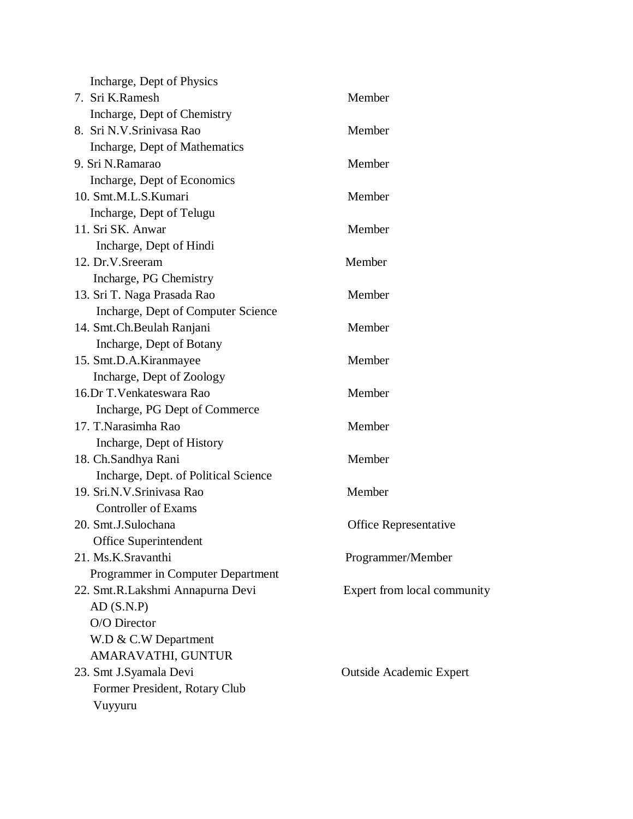| Incharge, Dept of Physics            |                                |
|--------------------------------------|--------------------------------|
| 7. Sri K.Ramesh                      | Member                         |
| Incharge, Dept of Chemistry          |                                |
| 8. Sri N.V. Srinivasa Rao            | Member                         |
| Incharge, Dept of Mathematics        |                                |
| 9. Sri N.Ramarao                     | Member                         |
| Incharge, Dept of Economics          |                                |
| 10. Smt.M.L.S.Kumari                 | Member                         |
| Incharge, Dept of Telugu             |                                |
| 11. Sri SK. Anwar                    | Member                         |
| Incharge, Dept of Hindi              |                                |
| 12. Dr.V.Sreeram                     | Member                         |
| Incharge, PG Chemistry               |                                |
| 13. Sri T. Naga Prasada Rao          | Member                         |
| Incharge, Dept of Computer Science   |                                |
| 14. Smt.Ch.Beulah Ranjani            | Member                         |
| Incharge, Dept of Botany             |                                |
| 15. Smt.D.A.Kiranmayee               | Member                         |
| Incharge, Dept of Zoology            |                                |
| 16.Dr T. Venkateswara Rao            | Member                         |
| Incharge, PG Dept of Commerce        |                                |
| 17. T.Narasimha Rao                  | Member                         |
| Incharge, Dept of History            |                                |
| 18. Ch.Sandhya Rani                  | Member                         |
| Incharge, Dept. of Political Science |                                |
| 19. Sri.N.V. Srinivasa Rao           | Member                         |
| <b>Controller of Exams</b>           |                                |
| 20. Smt.J.Sulochana                  | <b>Office Representative</b>   |
| Office Superintendent                |                                |
| 21. Ms.K.Sravanthi                   | Programmer/Member              |
| Programmer in Computer Department    |                                |
| 22. Smt.R.Lakshmi Annapurna Devi     | Expert from local community    |
| AD(S.N.P)                            |                                |
| O/O Director                         |                                |
| W.D & C.W Department                 |                                |
| AMARAVATHI, GUNTUR                   |                                |
| 23. Smt J.Syamala Devi               | <b>Outside Academic Expert</b> |
| Former President, Rotary Club        |                                |
| Vuyyuru                              |                                |
|                                      |                                |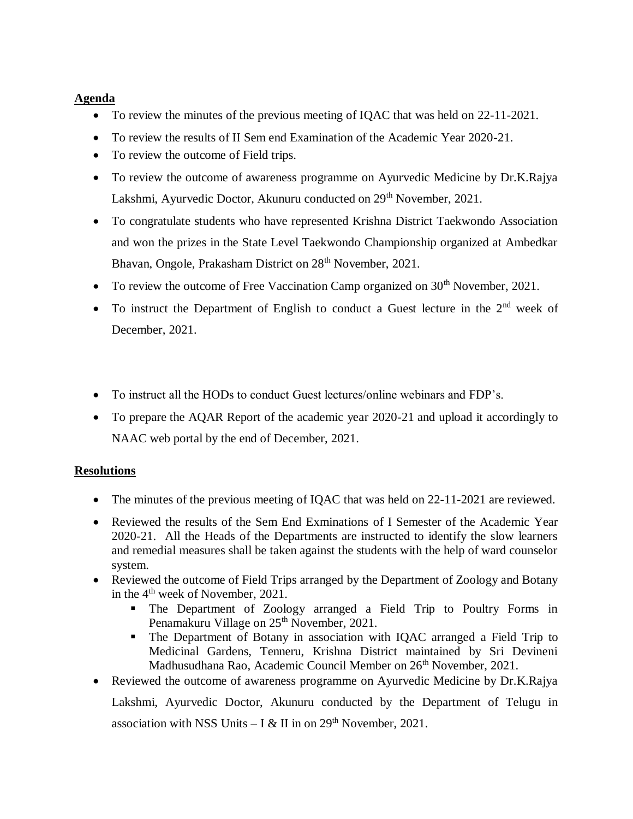## **Agenda**

- To review the minutes of the previous meeting of IQAC that was held on 22-11-2021.
- To review the results of II Sem end Examination of the Academic Year 2020-21.
- To review the outcome of Field trips.
- To review the outcome of awareness programme on Ayurvedic Medicine by Dr.K.Rajya Lakshmi, Ayurvedic Doctor, Akunuru conducted on 29<sup>th</sup> November, 2021.
- To congratulate students who have represented Krishna District Taekwondo Association and won the prizes in the State Level Taekwondo Championship organized at Ambedkar Bhavan, Ongole, Prakasham District on 28<sup>th</sup> November, 2021.
- To review the outcome of Free Vaccination Camp organized on  $30<sup>th</sup>$  November, 2021.
- $\bullet$  To instruct the Department of English to conduct a Guest lecture in the  $2<sup>nd</sup>$  week of December, 2021.
- To instruct all the HODs to conduct Guest lectures/online webinars and FDP's.
- To prepare the AQAR Report of the academic year 2020-21 and upload it accordingly to NAAC web portal by the end of December, 2021.

# **Resolutions**

- The minutes of the previous meeting of IQAC that was held on 22-11-2021 are reviewed.
- Reviewed the results of the Sem End Exminations of I Semester of the Academic Year 2020-21. All the Heads of the Departments are instructed to identify the slow learners and remedial measures shall be taken against the students with the help of ward counselor system.
- Reviewed the outcome of Field Trips arranged by the Department of Zoology and Botany in the 4<sup>th</sup> week of November, 2021.
	- The Department of Zoology arranged a Field Trip to Poultry Forms in Penamakuru Village on 25<sup>th</sup> November, 2021.
	- The Department of Botany in association with IQAC arranged a Field Trip to Medicinal Gardens, Tenneru, Krishna District maintained by Sri Devineni Madhusudhana Rao, Academic Council Member on 26<sup>th</sup> November, 2021.
- Reviewed the outcome of awareness programme on Ayurvedic Medicine by Dr.K.Rajya

Lakshmi, Ayurvedic Doctor, Akunuru conducted by the Department of Telugu in association with NSS Units  $- I & H$  in on 29<sup>th</sup> November, 2021.